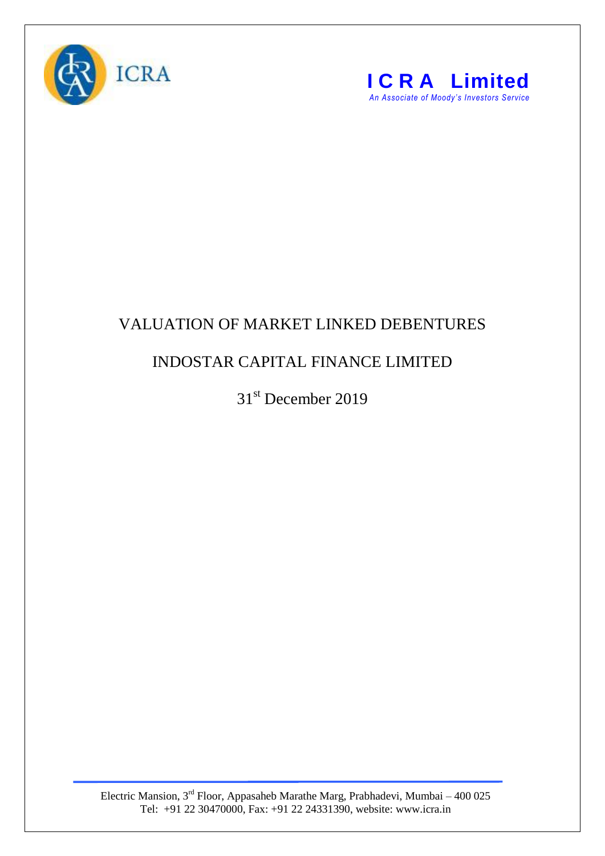



## VALUATION OF MARKET LINKED DEBENTURES

## INDOSTAR CAPITAL FINANCE LIMITED

31<sup>st</sup> December 2019

Electric Mansion,  $3<sup>rd</sup>$  Floor, Appasaheb Marathe Marg, Prabhadevi, Mumbai – 400 025 Tel: +91 22 30470000, Fax: +91 22 24331390, website: www.icra.in